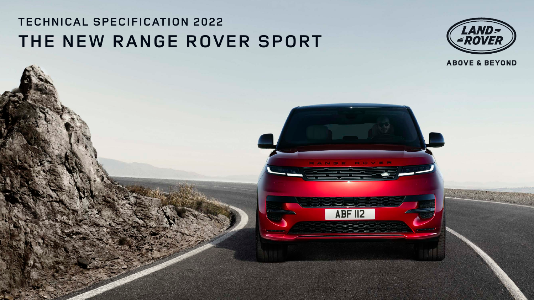# **TECHNICAL SPECIFICATION 2022 THE NEW RANGE ROVER SPORT**



**ABOVE & BEYOND** 

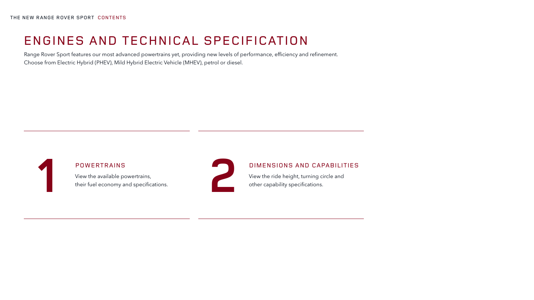# POWERTRAINS

**1 2** View the available powertrains, their fuel economy and specifications.



# DIMENSIONS AND CAPABILITIES

View the ride height, turning circle and other capability specifications.

# ENGINES AND TECHNICAL SPECIFICATION

Range Rover Sport features our most advanced powertrains yet, providing new levels of performance, efficiency and refinement. Choose from Electric Hybrid (PHEV), Mild Hybrid Electric Vehicle (MHEV), petrol or diesel.

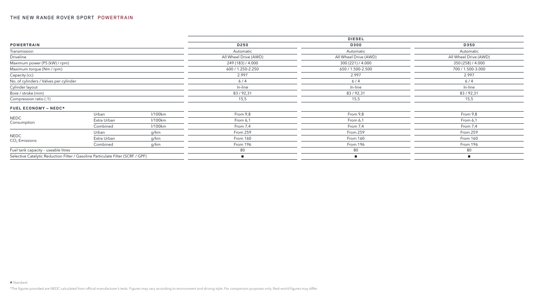|                                        |                                                                                 |         |                       | <b>DIESEL</b>               |                       |
|----------------------------------------|---------------------------------------------------------------------------------|---------|-----------------------|-----------------------------|-----------------------|
| <b>POWERTRAIN</b>                      |                                                                                 |         | D250                  | D300                        | D350                  |
| Transmission                           |                                                                                 |         | Automatic             | Automatic                   | Automatic             |
| Driveline                              |                                                                                 |         | All Wheel Drive (AWD) | All Wheel Drive (AWD)       | All Wheel Drive (AWD) |
| Maximum power (PS (kW) / rpm)          |                                                                                 |         | 249 (183) / 4.000     | 300 (221) / 4.000           | 350 (258) / 4.000     |
| Maximum torque (Nm / rpm)              |                                                                                 |         | 600 / 1.250-2.250     | 650 / 1.500-2.500           | 700 / 1.500-3.000     |
| Capacity (cc)                          |                                                                                 |         | 2.997                 | 2.997                       | 2.997                 |
| No. of cylinders / Valves per cylinder |                                                                                 |         | 6/4                   | $6/4$                       | 6/4                   |
| Cylinder layout                        |                                                                                 |         | In-line               | In-line                     | In-line               |
| Bore / stroke (mm)                     |                                                                                 |         | 83/92,31              | 83/92,31                    | 83/92,31              |
| Compression ratio (:1)                 |                                                                                 |         | 15,5                  | 15,5                        | 15,5                  |
| FUEL ECONOMY - NEDC*                   |                                                                                 |         |                       |                             |                       |
|                                        | Urban                                                                           | l/100km | From 9,8              | From 9,8                    | From 9,8              |
| <b>NEDC</b><br>Consumption             | Extra Urban                                                                     | l/100km | From 6,1              | From 6,1                    | From 6,1              |
|                                        | Combined                                                                        | l/100km | From 7,4              | From 7,4                    | From 7,4              |
|                                        | Urban                                                                           | g/km    | From 259              | From 259                    | From 259              |
| <b>NEDC</b><br>$CO2$ Emissions         | Extra Urban                                                                     | g/km    | From 160              | From 160                    | From 160              |
|                                        | Combined                                                                        | g/km    | From 196              | From 196                    | From 196              |
| Fuel tank capacity - useable litres    |                                                                                 |         | 80                    | 80                          | 80                    |
|                                        | Selective Catalytic Reduction Filter / Gasoline Particulate Filter (SCRF / GPF) |         |                       | $\mathcal{L}_{\mathcal{A}}$ |                       |

\*The figures provided are NEDC calculated from official manufacturer's tests. Figures may vary according to environment and driving style. For comparison purposes only. Real-world figures may differ.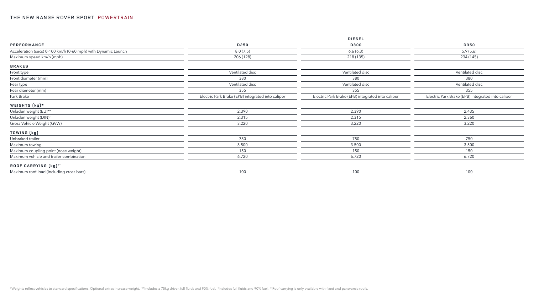|                                                               | <b>DIESEL</b>                                     |                                                   |                                                   |  |
|---------------------------------------------------------------|---------------------------------------------------|---------------------------------------------------|---------------------------------------------------|--|
| PERFORMANCE                                                   | D250                                              | D300                                              | D350                                              |  |
| Acceleration (secs) 0-100 km/h (0-60 mph) with Dynamic Launch | 8,0(7,5)                                          | 6,6(6,3)                                          | 5,9(5,6)                                          |  |
| Maximum speed km/h (mph)                                      | 206 (128)                                         | 218 (135)                                         | 234 (145)                                         |  |
| <b>BRAKES</b>                                                 |                                                   |                                                   |                                                   |  |
| Front type                                                    | Ventilated disc                                   | Ventilated disc                                   | Ventilated disc                                   |  |
| Front diameter (mm)                                           | 380                                               | 380                                               | 380                                               |  |
| Rear type                                                     | Ventilated disc                                   | Ventilated disc                                   | Ventilated disc                                   |  |
| Rear diameter (mm)                                            | 355                                               | 355                                               | 355                                               |  |
| Park Brake                                                    | Electric Park Brake (EPB) integrated into caliper | Electric Park Brake (EPB) integrated into caliper | Electric Park Brake (EPB) integrated into caliper |  |
| WEIGHTS (kg)*                                                 |                                                   |                                                   |                                                   |  |
| Unladen weight (EU)**                                         | 2.390                                             | 2.390                                             | 2.435                                             |  |
| Unladen weight (DIN) <sup>†</sup>                             | 2.315                                             | 2.315                                             | 2.360                                             |  |
| Gross Vehicle Weight (GVW)                                    | 3.220                                             | 3.220                                             | 3.220                                             |  |
| TOWING (kg)                                                   |                                                   |                                                   |                                                   |  |
| Unbraked trailer                                              | 750                                               | 750                                               | 750                                               |  |
| Maximum towing                                                | 3.500                                             | 3.500                                             | 3.500                                             |  |
| Maximum coupling point (nose weight)                          | 150                                               | 150                                               | 150                                               |  |
| Maximum vehicle and trailer combination                       | 6.720                                             | 6.720                                             | 6.720                                             |  |
| ROOF CARRYING (kg) <sup>++</sup>                              |                                                   |                                                   |                                                   |  |
| Maximum roof load (including cross bars)                      | 100                                               | 100                                               | 100                                               |  |
|                                                               |                                                   |                                                   |                                                   |  |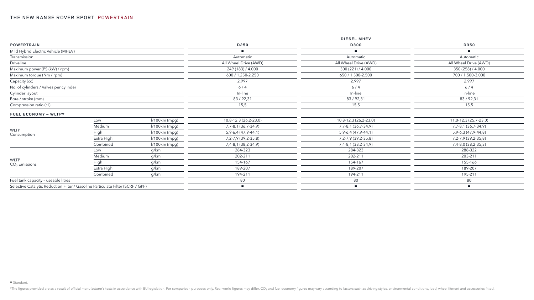|                                                                                 |            |               |                         | <b>DIESEL MHEV</b>      |                         |
|---------------------------------------------------------------------------------|------------|---------------|-------------------------|-------------------------|-------------------------|
| <b>POWERTRAIN</b>                                                               |            | D250          | <b>D300</b>             | D350                    |                         |
| Mild Hybrid Electric Vehicle (MHEV)                                             |            |               |                         | $\mathbf{r}$            |                         |
| Transmission                                                                    |            |               | Automatic               | Automatic               | Automatic               |
| Driveline                                                                       |            |               | All Wheel Drive (AWD)   | All Wheel Drive (AWD)   | All Wheel Drive (AWD)   |
| Maximum power (PS (kW) / rpm)                                                   |            |               | 249 (183) / 4.000       | 300 (221) / 4.000       | 350 (258) / 4.000       |
| Maximum torque (Nm / rpm)                                                       |            |               | 600 / 1.250-2.250       | 650 / 1.500-2.500       | 700 / 1.500-3.000       |
| Capacity (cc)                                                                   |            |               | 2.997                   | 2.997                   | 2.997                   |
| No. of cylinders / Valves per cylinder                                          |            |               | $6/4$                   | 6/4                     | $6/4$                   |
| Cylinder layout                                                                 |            |               | In-line                 | In-line                 | In-line                 |
| Bore / stroke (mm)                                                              |            |               | 83/92,31                | 83/92,31                | 83/92,31                |
| Compression ratio (:1)                                                          |            |               | 15,5                    | 15,5                    | 15,5                    |
| FUEL ECONOMY - WLTP*                                                            |            |               |                         |                         |                         |
|                                                                                 | Low        | l/100km (mpg) | 10,8-12,3 (26,2-23,0)   | 10,8-12,3 (26,2-23,0)   | 11,0-12,3 (25,7-23,0)   |
|                                                                                 | Medium     | l/100km (mpg) | 7, 7-8, 1 (36, 7-34, 9) | 7, 7-8, 1 (36, 7-34, 9) | 7,7-8,1 (36,7-34,9)     |
| <b>WLTP</b><br>Consumption                                                      | High       | l/100km (mpg) | 5, 9-6, 4 (47, 9-44, 1) | 5, 9-6, 4 (47, 9-44, 1) | 5, 9-6, 3 (47, 9-44, 8) |
|                                                                                 | Extra High | l/100km (mpg) | 7, 2-7, 9 (39, 2-35, 8) | 7, 2-7, 9 (39, 2-35, 8) | 7, 2-7, 9 (39, 2-35, 8) |
|                                                                                 | Combined   | l/100km (mpg) | 7,4-8,1 (38,2-34,9)     | 7,4-8,1 (38,2-34,9)     | 7,4-8,0 (38,2-35,3)     |
|                                                                                 | Low        | g/km          | 284-323                 | 284-323                 | 288-322                 |
|                                                                                 | Medium     | g/km          | 202-211                 | 202-211                 | 203-211                 |
| <b>WLTP</b><br>$CO2$ Emissions                                                  | High       | g/km          | 154-167                 | 154-167                 | 155-166                 |
|                                                                                 | Extra High | g/km          | 189-207                 | 189-207                 | 189-207                 |
|                                                                                 | Combined   | g/km          | 194-211                 | 194-211                 | 195-211                 |
| Fuel tank capacity - useable litres                                             |            |               | 80                      | 80                      | 80                      |
| Selective Catalytic Reduction Filter / Gasoline Particulate Filter (SCRF / GPF) |            |               |                         | п.                      |                         |
|                                                                                 |            |               |                         |                         |                         |

\*The figures provided are as a result of official manufacturer's tests in accordance with EU legislation. For comparison purposes only. Real-world figures may differ. CO<sub>2</sub> and fuel economy figures may vary according to fa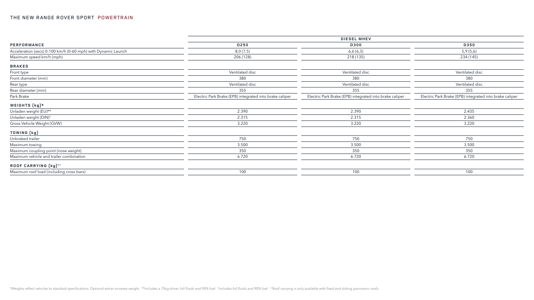|                                                               | <b>DIESEL MHEV</b>                                      |                                                         |                                                         |  |  |  |
|---------------------------------------------------------------|---------------------------------------------------------|---------------------------------------------------------|---------------------------------------------------------|--|--|--|
| PERFORMANCE                                                   | D250                                                    | D300                                                    | D350                                                    |  |  |  |
| Acceleration (secs) 0-100 km/h (0-60 mph) with Dynamic Launch | 8,0(7,5)                                                | 6,6(6,3)                                                | 5,9(5,6)                                                |  |  |  |
| Maximum speed km/h (mph)                                      | 206 (128)                                               | 218 (135)                                               | 234 (145)                                               |  |  |  |
| <b>BRAKES</b>                                                 |                                                         |                                                         |                                                         |  |  |  |
| Front type                                                    | Ventilated disc                                         | Ventilated disc                                         | Ventilated disc                                         |  |  |  |
| Front diameter (mm)                                           | 380                                                     | 380                                                     | 380                                                     |  |  |  |
| Rear type                                                     | Ventilated disc                                         | Ventilated disc                                         | Ventilated disc                                         |  |  |  |
| Rear diameter (mm)                                            | 355                                                     | 355                                                     | 355                                                     |  |  |  |
| Park Brake                                                    | Electric Park Brake (EPB) integrated into brake caliper | Electric Park Brake (EPB) integrated into brake caliper | Electric Park Brake (EPB) integrated into brake caliper |  |  |  |
| WEIGHTS $(kg)*$                                               |                                                         |                                                         |                                                         |  |  |  |
| Unladen weight (EU)**                                         | 2.390                                                   | 2.390                                                   | 2.435                                                   |  |  |  |
| Unladen weight (DIN) <sup>†</sup>                             | 2.315                                                   | 2.315                                                   | 2.360                                                   |  |  |  |
| Gross Vehicle Weight (GVW)                                    | 3.220                                                   | 3.220                                                   | 3.220                                                   |  |  |  |
| TOWING (kg)                                                   |                                                         |                                                         |                                                         |  |  |  |
| Unbraked trailer                                              | 750                                                     | 750                                                     | 750                                                     |  |  |  |
| Maximum towing                                                | 3.500                                                   | 3.500                                                   | 3.500                                                   |  |  |  |
| Maximum coupling point (nose weight)                          | 350                                                     | 350                                                     | 350                                                     |  |  |  |
| Maximum vehicle and trailer combination                       | 6.720                                                   | 6.720                                                   | 6.720                                                   |  |  |  |
| ROOF CARRYING (kg) <sup>++</sup>                              |                                                         |                                                         |                                                         |  |  |  |
| Maximum roof load (including cross bars)                      | 100                                                     | 100                                                     | 100                                                     |  |  |  |
|                                                               |                                                         |                                                         |                                                         |  |  |  |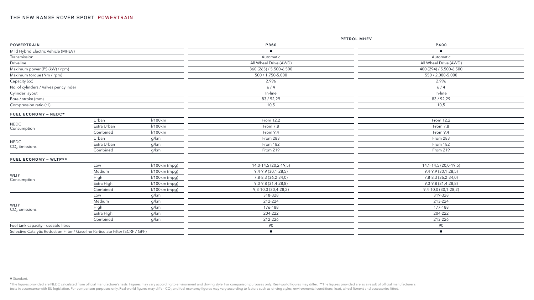|                                        |                                                                                 |               | PETROL MHEV              |                           |  |
|----------------------------------------|---------------------------------------------------------------------------------|---------------|--------------------------|---------------------------|--|
| <b>POWERTRAIN</b>                      |                                                                                 |               | P360                     | P400                      |  |
| Mild Hybrid Electric Vehicle (MHEV)    |                                                                                 |               |                          |                           |  |
| Transmission                           |                                                                                 |               | Automatic                | Automatic                 |  |
| Driveline                              |                                                                                 |               | All Wheel Drive (AWD)    | All Wheel Drive (AWD)     |  |
| Maximum power (PS (kW) / rpm)          |                                                                                 |               | 360 (265) / 5.500-6.500  | 400 (294) / 5.500-6.500   |  |
| Maximum torque (Nm / rpm)              |                                                                                 |               | 500 / 1.750-5.000        | 550 / 2.000-5.000         |  |
| Capacity (cc)                          |                                                                                 |               | 2.996                    | 2.996                     |  |
| No. of cylinders / Valves per cylinder |                                                                                 |               | $6/4$                    | 6/4                       |  |
| Cylinder layout                        |                                                                                 |               | In-line                  | In-line                   |  |
| Bore / stroke (mm)                     |                                                                                 |               | 83/92,29                 | 83/92,29                  |  |
| Compression ratio (:1)                 |                                                                                 |               | 10,5                     | 10,5                      |  |
| FUEL ECONOMY - NEDC*                   |                                                                                 |               |                          |                           |  |
|                                        | Urban                                                                           | l/100km       | From 12,2                | From 12,2                 |  |
| <b>NEDC</b><br>Consumption             | Extra Urban                                                                     | l/100km       | From 7,8                 | From 7,8                  |  |
|                                        | Combined                                                                        | l/100km       | From 9,4                 | From 9,4                  |  |
|                                        | Urban                                                                           | g/km          | From 283                 | From 283                  |  |
| $\sf{NEDC}$<br>$CO2$ Emissions         | Extra Urban                                                                     | g/km          | From 182                 | From 182                  |  |
|                                        | Combined                                                                        | g/km          | From 219                 | From 219                  |  |
| FUEL ECONOMY - WLTP**                  |                                                                                 |               |                          |                           |  |
|                                        | Low                                                                             | l/100km (mpg) | 14,0-14,5 (20,2-19,5)    | 14, 1-14, 5 (20, 0-19, 5) |  |
|                                        | Medium                                                                          | l/100km (mpg) | 9,4-9,9 (30,1-28,5)      | 9,4-9,9 (30,1-28,5)       |  |
| <b>WLTP</b><br>Consumption             | High                                                                            | l/100km (mpg) | 7,8-8,3 (36,2-34,0)      | 7,8-8,3 (36,2-34,0)       |  |
|                                        | Extra High                                                                      | l/100km (mpg) | 9,0-9,8 (31,4-28,8)      | 9,0-9,8 (31,4-28,8)       |  |
|                                        | Combined                                                                        | l/100km (mpg) | 9, 3-10, 0 (30, 4-28, 2) | 9,4-10,0 (30,1-28,2)      |  |
|                                        | Low                                                                             | g/km          | 318-328                  | 319-328                   |  |
|                                        | Medium                                                                          | g/km          | 212-224                  | 213-224                   |  |
| <b>WLTP</b><br>$CO2$ Emissions         | High                                                                            | g/km          | 176-188                  | 177-188                   |  |
|                                        | Extra High                                                                      | g/km          | 204-222                  | 204-222                   |  |
|                                        | Combined                                                                        | g/km          | 212-226                  | 213-226                   |  |
| Fuel tank capacity - useable litres    |                                                                                 |               | 90                       | 90                        |  |
|                                        | Selective Catalytic Reduction Filter / Gasoline Particulate Filter (SCRF / GPF) |               | $\mathbf{r}$             | $\blacksquare$            |  |

#### ■ Standard.

\*The figures provided are NEDC calculated from official manufacturer's tests. Figures may vary according to environment and driving style. For comparison purposes only. Real-world figures may differ. \*\*The figures provided tests in accordance with EU legislation. For comparison purposes only. Real-world figures may differ. CO<sub>2</sub> and fuel economy figures may vary according to factors such as driving styles, environmental conditions, load, wh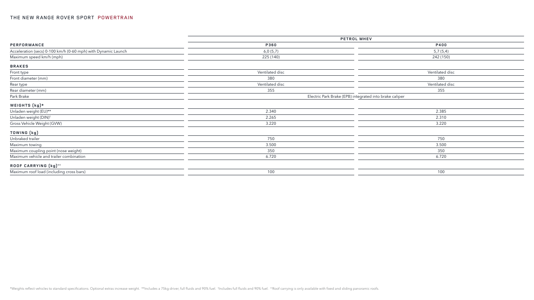|                                                               | PETROL MHEV                                             |                 |  |  |
|---------------------------------------------------------------|---------------------------------------------------------|-----------------|--|--|
| PERFORMANCE                                                   | P360                                                    | P400            |  |  |
| Acceleration (secs) 0-100 km/h (0-60 mph) with Dynamic Launch | 6,0(5,7)                                                | 5,7(5,4)        |  |  |
| Maximum speed km/h (mph)                                      | 225 (140)                                               | 242 (150)       |  |  |
| <b>BRAKES</b>                                                 |                                                         |                 |  |  |
| Front type                                                    | Ventilated disc                                         | Ventilated disc |  |  |
| Front diameter (mm)                                           | 380                                                     | 380             |  |  |
| Rear type                                                     | Ventilated disc                                         | Ventilated disc |  |  |
| Rear diameter (mm)                                            | 355                                                     | 355             |  |  |
| Park Brake                                                    | Electric Park Brake (EPB) integrated into brake caliper |                 |  |  |
| WEIGHTS (kg)*                                                 |                                                         |                 |  |  |
| Unladen weight (EU)**                                         | 2.340                                                   | 2.385           |  |  |
| Unladen weight (DIN) <sup>†</sup>                             | 2.265                                                   | 2.310           |  |  |
| Gross Vehicle Weight (GVW)                                    | 3.220                                                   | 3.220           |  |  |
| TOWING (kg)                                                   |                                                         |                 |  |  |
| Unbraked trailer                                              | 750                                                     | 750             |  |  |
| Maximum towing                                                | 3.500                                                   | 3.500           |  |  |
| Maximum coupling point (nose weight)                          | 350                                                     | 350             |  |  |
| Maximum vehicle and trailer combination                       | 6.720                                                   | 6.720           |  |  |
| ROOF CARRYING (kg) <sup>++</sup>                              |                                                         |                 |  |  |
| Maximum roof load (including cross bars)                      | 100                                                     | 100             |  |  |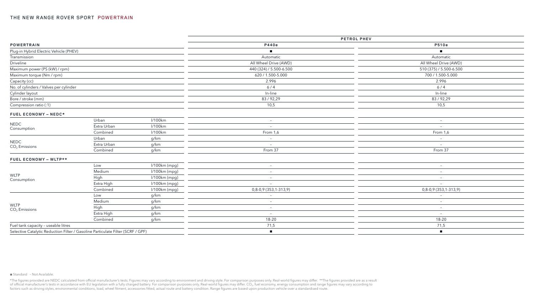\*The figures provided are NEDC calculated from official manufacturer's tests. Figures may vary according to environment and driving style. For comparison purposes only. Real-world figures may differ. \*\*The figures provided of official manufacturer's tests in accordance with EU legislation with a fully charged battery. For comparison purposes only. Real-world figures may differ. CO<sub>2</sub>, fuel economy, energy consumption and range figures may va factors such as driving styles, environmental conditions, load, wheel fitment, accessories fitted, actual route and battery condition. Range figures are based upon production vehicle over a standardised route.

|                                        |                                                                                 |               | PETROL PHEV              |                          |  |
|----------------------------------------|---------------------------------------------------------------------------------|---------------|--------------------------|--------------------------|--|
| <b>POWERTRAIN</b>                      |                                                                                 |               | P440e                    | P510e                    |  |
| Plug-in Hybrid Electric Vehicle (PHEV) |                                                                                 |               |                          |                          |  |
| Transmission                           |                                                                                 |               | Automatic                | Automatic                |  |
| Driveline                              |                                                                                 |               | All Wheel Drive (AWD)    | All Wheel Drive (AWD)    |  |
| Maximum power (PS (kW) / rpm)          |                                                                                 |               | 440 (324) / 5.500-6.500  | 510 (375) / 5.500-6.500  |  |
| Maximum torque (Nm / rpm)              |                                                                                 |               | 620 / 1.500-5.000        | 700 / 1.500-5.000        |  |
| Capacity (cc)                          |                                                                                 |               | 2.996                    | 2.996                    |  |
| No. of cylinders / Valves per cylinder |                                                                                 |               | 6/4                      | 6/4                      |  |
| Cylinder layout                        |                                                                                 |               | In-line                  | In-line                  |  |
| Bore / stroke (mm)                     |                                                                                 |               | 83/92,29                 | 83/92,29                 |  |
| Compression ratio (:1)                 |                                                                                 |               | 10,5                     | 10,5                     |  |
| FUEL ECONOMY - NEDC*                   |                                                                                 |               |                          |                          |  |
|                                        | Urban                                                                           | l/100km       | $\overline{\phantom{a}}$ | $\overline{\phantom{a}}$ |  |
| $\sf{NEDC}$<br>Consumption             | Extra Urban                                                                     | l/100km       | $\overline{\phantom{0}}$ | $\overline{\phantom{a}}$ |  |
|                                        | Combined                                                                        | l/100km       | From 1,6                 | From 1,6                 |  |
|                                        | Urban                                                                           | g/km          | $\overline{\phantom{a}}$ | $\overline{\phantom{a}}$ |  |
| NEDC<br>$CO2$ Emissions                | Extra Urban                                                                     | g/km          |                          | $\overline{\phantom{a}}$ |  |
|                                        | Combined                                                                        | g/km          | From 37                  | From 37                  |  |
| FUEL ECONOMY - WLTP**                  |                                                                                 |               |                          |                          |  |
|                                        | Low                                                                             | l/100km (mpg) | $-$                      | $\overline{\phantom{a}}$ |  |
|                                        | Medium                                                                          | l/100km (mpg) | $\qquad \qquad -$        | $-$                      |  |
| <b>WLTP</b><br>Consumption             | High                                                                            | l/100km (mpg) | $\overline{\phantom{m}}$ | $\overline{\phantom{m}}$ |  |
|                                        | Extra High                                                                      | l/100km (mpg) | $-$                      | $\overline{\phantom{a}}$ |  |
|                                        | Combined                                                                        | l/100km (mpg) | 0,8-0,9 (353,1-313,9)    | 0,8-0,9 (353,1-313,9)    |  |
|                                        | Low                                                                             | g/km          | $\qquad \qquad -$        | $\overline{\phantom{a}}$ |  |
|                                        | Medium                                                                          | g/km          | $\overline{\phantom{a}}$ | $\overline{\phantom{a}}$ |  |
| <b>WLTP</b><br>$CO2$ Emissions         | High                                                                            | g/km          | $-$                      | $\overline{\phantom{a}}$ |  |
|                                        | Extra High                                                                      | g/km          | $-$                      | $\overline{\phantom{a}}$ |  |
|                                        | Combined                                                                        | g/km          | 18-20                    | 18-20                    |  |
| Fuel tank capacity - useable litres    |                                                                                 |               | 71,5                     | 71,5                     |  |
|                                        | Selective Catalytic Reduction Filter / Gasoline Particulate Filter (SCRF / GPF) |               | $\blacksquare$           | $\blacksquare$           |  |
|                                        |                                                                                 |               |                          |                          |  |

#### ■ Standard - Not Available.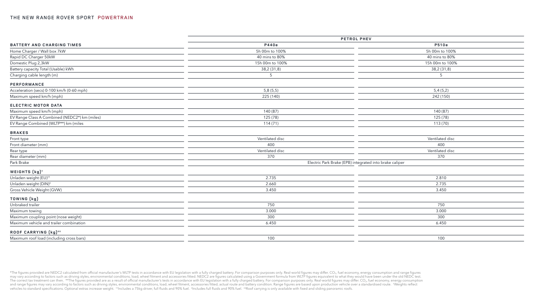|                                               | PETROL PHEV     |                                                         |  |
|-----------------------------------------------|-----------------|---------------------------------------------------------|--|
| <b>BATTERY AND CHARGING TIMES</b>             | P440e           | P510e                                                   |  |
| Home Charger / Wall box 7kW                   | 5h 00m to 100%  | 5h 00m to 100%                                          |  |
| Rapid DC Charger 50kW                         | 40 mins to 80%  | 40 mins to 80%                                          |  |
| Domestic Plug 2,3kW                           | 15h 00m to 100% | 15h 00m to 100%                                         |  |
| Battery capacity Total (Usable) kWh           | 38,2 (31,8)     | 38,2 (31,8)                                             |  |
| Charging cable length (m)                     | 5               | 5                                                       |  |
| PERFORMANCE                                   |                 |                                                         |  |
| Acceleration (secs) 0-100 km/h (0-60 mph)     | 5,8(5,5)        | 5,4(5,2)                                                |  |
| Maximum speed km/h (mph)                      | 225 (140)       | 242 (150)                                               |  |
| ELECTRIC MOTOR DATA                           |                 |                                                         |  |
| Maximum speed km/h (mph)                      | 140 (87)        | 140 (87)                                                |  |
| EV Range Class A Combined (NEDC2*) km (miles) | 125 (78)        | 125 (78)                                                |  |
| EV Range Combined (WLTP**) km (miles          | 114(71)         | 113 (70)                                                |  |
| <b>BRAKES</b>                                 |                 |                                                         |  |
| Front type                                    | Ventilated disc | Ventilated disc                                         |  |
| Front diameter (mm)                           | 400             | 400                                                     |  |
| Rear type                                     | Ventilated disc | Ventilated disc                                         |  |
| Rear diameter (mm)                            | 370             | 370                                                     |  |
| Park Brake                                    |                 | Electric Park Brake (EPB) integrated into brake caliper |  |
| WEIGHTS (kg) <sup>+</sup>                     |                 |                                                         |  |
| Unladen weight (EU) <sup>tt</sup>             | 2.735           | 2.810                                                   |  |
| Unladen weight (DIN) <sup>#</sup>             | 2.660           | 2.735                                                   |  |
| Gross Vehicle Weight (GVW)                    | 3.450           | 3.450                                                   |  |
| TOWING (kg)                                   |                 |                                                         |  |
| Unbraked trailer                              | 750             | 750                                                     |  |
| Maximum towing                                | 3.000           | 3.000                                                   |  |
| Maximum coupling point (nose weight)          | 300             | 300                                                     |  |
| Maximum vehicle and trailer combination       | 6.450           | 6.450                                                   |  |
| ROOF CARRYING (kg) <sup>++</sup>              |                 |                                                         |  |
| Maximum roof load (including cross bars)      | 100             | 100                                                     |  |

\*The figures provided are NEDC2 calculated from official manufacturer's WLTP tests in accordance with EU legislation with a fully charged battery. For comparison purposes only. Real-world figures may differ. CO<sub>2</sub>, fuel ec may vary according to factors such as driving styles, environmental conditions, load, wheel fitment and accessories fitted. NEDC2 are figures calculated using a Government formula from WLTP figures equivalent to what they The correct tax treatment can then. \*\*The figures provided are as a result of official manufacturer's tests in accordance with EU legislation with a fully charged battery. For comparison purposes only. Real-world figures and range figures may vary according to factors such as driving styles, environmental conditions, load, wheel fitment, accessories fitted, actual route and battery condition. Range figures are based upon production vehicle vehicles to standard specifications. Optional extras increase weight. ††Includes a 75kg driver, full fluids and 90% fuel. ‡Includes full fluids and 90% fuel. #Roof carrying is only available with fixed and sliding panorami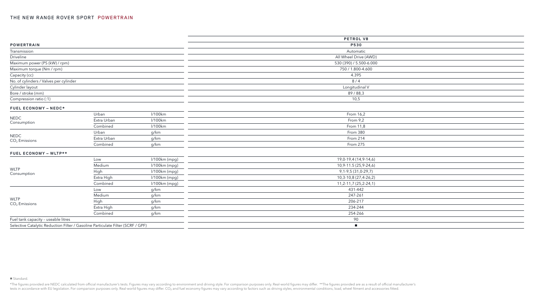|                                                         |             |               | PETROL V8               |
|---------------------------------------------------------|-------------|---------------|-------------------------|
| <b>POWERTRAIN</b>                                       |             |               | P530                    |
| Transmission                                            |             |               | Automatic               |
| Driveline                                               |             |               | All Wheel Drive (AWD)   |
| Maximum power (PS (kW) / rpm)                           |             |               | 530 (390) / 5.500-6.000 |
| Maximum torque (Nm / rpm)                               |             |               | 750 / 1.800-4.600       |
| Capacity (cc)                                           |             |               | 4.395                   |
| No. of cylinders / Valves per cylinder                  |             |               | 8/4                     |
| Cylinder layout                                         |             |               | Longitudinal V          |
| Bore / stroke (mm)                                      |             |               | 89/88,3                 |
| Compression ratio (:1)                                  |             |               | 10,5                    |
| FUEL ECONOMY - NEDC*                                    |             |               |                         |
|                                                         | Urban       | l/100km       | From 16,2               |
| <b>NEDC</b>                                             | Extra Urban | l/100km       | From 9,2                |
| Consumption                                             | Combined    | l/100km       | From 11,8               |
|                                                         | Urban       | g/km          | From 380                |
| <b>NEDC</b><br>$CO2$ Emissions                          | Extra Urban | g/km          | From 214                |
|                                                         | Combined    | g/km          | From 275                |
| FUEL ECONOMY - WLTP**                                   |             |               |                         |
|                                                         | Low         | l/100km (mpg) | 19,0-19,4 (14,9-14,6)   |
|                                                         | Medium      | l/100km (mpg) | 10,9-11.5 (25,9-24,6)   |
| <b>WLTP</b><br>Consumption                              | High        | l/100km (mpg) | 9, 1-9, 5 (31, 0-29, 7) |
|                                                         | Extra High  | l/100km (mpg) | 10,3-10,8 (27,4-26,2)   |
|                                                         | Combined    | l/100km (mpg) | 11,2-11,7 (25,2-24,1)   |
|                                                         | Low         | g/km          | 431-442                 |
|                                                         | Medium      | g/km          | 247-261                 |
| <b>WLTP</b><br>$CO2$ Emissions                          | High        | g/km          | 206-217                 |
|                                                         | Extra High  | g/km          | 234-244                 |
|                                                         | Combined    | g/km          | 254-266                 |
| Fuel tank capacity - useable litres                     |             |               | 90                      |
| $\sim$ $\sim$ $\sim$ $\sim$ $\sim$ $\sim$ $\sim$ $\sim$ |             |               |                         |

Selective Catalytic Reduction Filter / Gasoline Particulate Filter (SCRF / GPF) ■

#### ■ Standard.

\*The figures provided are NEDC calculated from official manufacturer's tests. Figures may vary according to environment and driving style. For comparison purposes only. Real-world figures may differ. \*\*The figures provided tests in accordance with EU legislation. For comparison purposes only. Real-world figures may differ. CO<sub>2</sub> and fuel economy figures may vary according to factors such as driving styles, environmental conditions, load, wh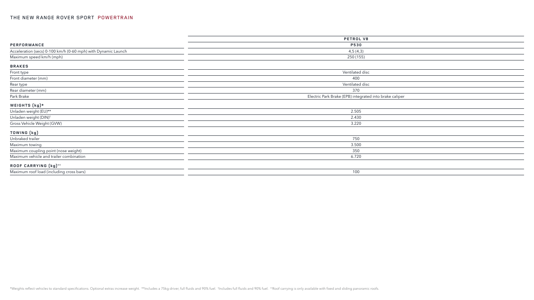|                                                               | PETROL V8                                               |  |
|---------------------------------------------------------------|---------------------------------------------------------|--|
| PERFORMANCE                                                   | <b>P530</b>                                             |  |
| Acceleration (secs) 0-100 km/h (0-60 mph) with Dynamic Launch | 4,5(4,3)                                                |  |
| Maximum speed km/h (mph)                                      | 250 (155)                                               |  |
| <b>BRAKES</b>                                                 |                                                         |  |
| Front type                                                    | Ventilated disc                                         |  |
| Front diameter (mm)                                           | 400                                                     |  |
| Rear type                                                     | Ventilated disc                                         |  |
| Rear diameter (mm)                                            | 370                                                     |  |
| Park Brake                                                    | Electric Park Brake (EPB) integrated into brake caliper |  |
| WEIGHTS (kg)*                                                 |                                                         |  |
| Unladen weight (EU)**                                         | 2.505                                                   |  |
| Unladen weight (DIN) <sup>†</sup>                             | 2.430                                                   |  |
| Gross Vehicle Weight (GVW)                                    | 3.220                                                   |  |
| TOWING (kg)                                                   |                                                         |  |
| Unbraked trailer                                              | 750                                                     |  |
| Maximum towing                                                | 3.500                                                   |  |
| Maximum coupling point (nose weight)                          | 350                                                     |  |
| Maximum vehicle and trailer combination                       | 6.720                                                   |  |
| ROOF CARRYING (kg) <sup>++</sup>                              |                                                         |  |
| Maximum roof load (including cross bars)                      | 100                                                     |  |